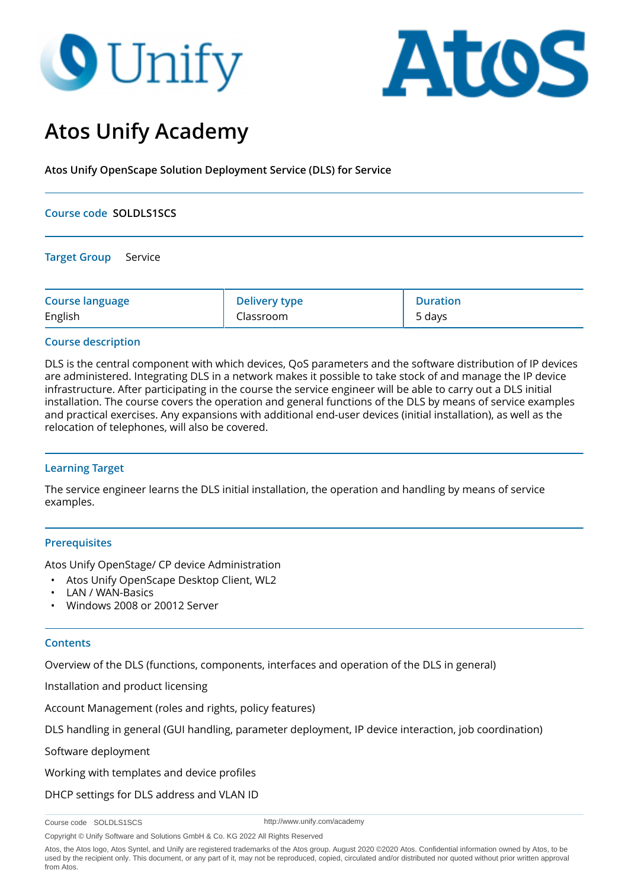# **O** Unify



# **Atos Unify Academy**

**Atos Unify OpenScape Solution Deployment Service (DLS) for Service**

### **Course code SOLDLS1SCS**

**Target Group** Service

| <b>Course language</b> | Delivery type | <b>Duration</b> |
|------------------------|---------------|-----------------|
| English                | Classroom     | 5 days          |

# **Course description**

DLS is the central component with which devices, QoS parameters and the software distribution of IP devices are administered. Integrating DLS in a network makes it possible to take stock of and manage the IP device infrastructure. After participating in the course the service engineer will be able to carry out a DLS initial installation. The course covers the operation and general functions of the DLS by means of service examples and practical exercises. Any expansions with additional end-user devices (initial installation), as well as the relocation of telephones, will also be covered.

# **Learning Target**

The service engineer learns the DLS initial installation, the operation and handling by means of service examples.

# **Prerequisites**

Atos Unify OpenStage/ CP device Administration

- Atos Unify OpenScape Desktop Client, WL2
- LAN / WAN-Basics
- Windows 2008 or 20012 Server

#### **Contents**

Overview of the DLS (functions, components, interfaces and operation of the DLS in general)

Installation and product licensing

Account Management (roles and rights, policy features)

DLS handling in general (GUI handling, parameter deployment, IP device interaction, job coordination)

Software deployment

Working with templates and device profiles

DHCP settings for DLS address and VLAN ID

Course code SOLDLS1SCS

http://www.unify.com/academy

Copyright © Unify Software and Solutions GmbH & Co. KG 2022 All Rights Reserved

Atos, the Atos logo, Atos Syntel, and Unify are registered trademarks of the Atos group. August 2020 ©2020 Atos. Confidential information owned by Atos, to be used by the recipient only. This document, or any part of it, may not be reproduced, copied, circulated and/or distributed nor quoted without prior written approval from Atos.